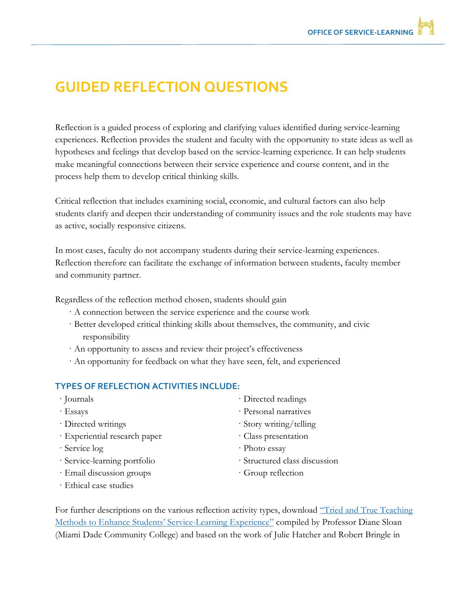## **GUIDED REFLECTION QUESTIONS**

Reflection is a guided process of exploring and clarifying values identified during service-learning experiences. Reflection provides the student and faculty with the opportunity to state ideas as well as hypotheses and feelings that develop based on the service-learning experience. It can help students make meaningful connections between their service experience and course content, and in the process help them to develop critical thinking skills.

Critical reflection that includes examining social, economic, and cultural factors can also help students clarify and deepen their understanding of community issues and the role students may have as active, socially responsive citizens.

In most cases, faculty do not accompany students during their service-learning experiences. Reflection therefore can facilitate the exchange of information between students, faculty member and community partner.

Regardless of the reflection method chosen, students should gain

- · A connection between the service experience and the course work
- · Better developed critical thinking skills about themselves, the community, and civic responsibility
- · An opportunity to assess and review their project's effectiveness
- · An opportunity for feedback on what they have seen, felt, and experienced

#### **TYPES OF REFLECTION ACTIVITIES INCLUDE:**

| · Journals                    | · Directed readings           |
|-------------------------------|-------------------------------|
| $\cdot$ Essays                | · Personal narratives         |
| · Directed writings           | · Story writing/telling       |
| · Experiential research paper | · Class presentation          |
| · Service log                 | · Photo essay                 |
| · Service-learning portfolio  | · Structured class discussion |
| · Email discussion groups     | · Group reflection            |
| · Ethical case studies        |                               |

For further descriptions on the various reflection activity types, download "Tried and True Teaching" [Methods to Enhance Student](http://servicelearning.msstate.edu/files/SL-Reflection%20Activities.pdf)s' Service-Learning Experience" compiled by Professor Diane Sloan (Miami Dade Community College) and based on the work of Julie Hatcher and Robert Bringle in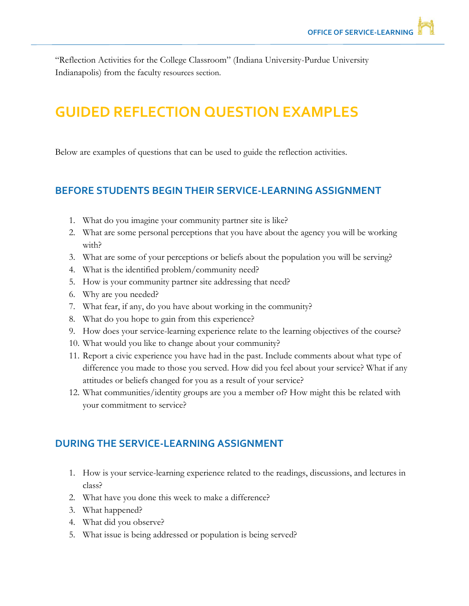"Reflection Activities for the College Classroom" (Indiana University-Purdue University Indianapolis) from the faculty resources section.

# **GUIDED REFLECTION QUESTION EXAMPLES**

Below are examples of questions that can be used to guide the reflection activities.

### **BEFORE STUDENTS BEGIN THEIR SERVICE-LEARNING ASSIGNMENT**

- 1. What do you imagine your community partner site is like?
- 2. What are some personal perceptions that you have about the agency you will be working with?
- 3. What are some of your perceptions or beliefs about the population you will be serving?
- 4. What is the identified problem/community need?
- 5. How is your community partner site addressing that need?
- 6. Why are you needed?
- 7. What fear, if any, do you have about working in the community?
- 8. What do you hope to gain from this experience?
- 9. How does your service-learning experience relate to the learning objectives of the course?
- 10. What would you like to change about your community?
- 11. Report a civic experience you have had in the past. Include comments about what type of difference you made to those you served. How did you feel about your service? What if any attitudes or beliefs changed for you as a result of your service?
- 12. What communities/identity groups are you a member of? How might this be related with your commitment to service?

#### **DURING THE SERVICE-LEARNING ASSIGNMENT**

- 1. How is your service-learning experience related to the readings, discussions, and lectures in class?
- 2. What have you done this week to make a difference?
- 3. What happened?
- 4. What did you observe?
- 5. What issue is being addressed or population is being served?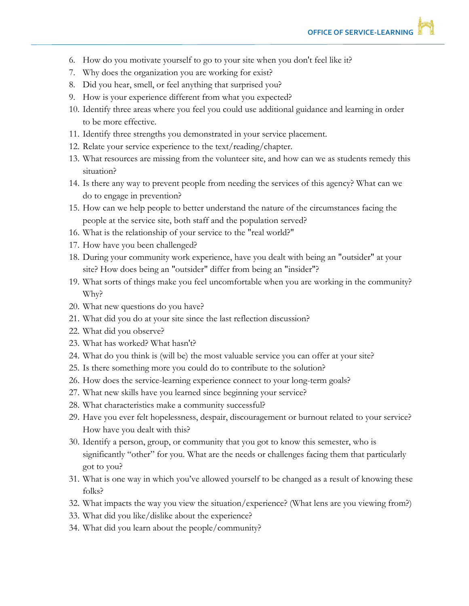- 6. How do you motivate yourself to go to your site when you don't feel like it?
- 7. Why does the organization you are working for exist?
- 8. Did you hear, smell, or feel anything that surprised you?
- 9. How is your experience different from what you expected?
- 10. Identify three areas where you feel you could use additional guidance and learning in order to be more effective.
- 11. Identify three strengths you demonstrated in your service placement.
- 12. Relate your service experience to the text/reading/chapter.
- 13. What resources are missing from the volunteer site, and how can we as students remedy this situation?
- 14. Is there any way to prevent people from needing the services of this agency? What can we do to engage in prevention?
- 15. How can we help people to better understand the nature of the circumstances facing the people at the service site, both staff and the population served?
- 16. What is the relationship of your service to the "real world?"
- 17. How have you been challenged?
- 18. During your community work experience, have you dealt with being an "outsider" at your site? How does being an "outsider" differ from being an "insider"?
- 19. What sorts of things make you feel uncomfortable when you are working in the community? Why?
- 20. What new questions do you have?
- 21. What did you do at your site since the last reflection discussion?
- 22. What did you observe?
- 23. What has worked? What hasn't?
- 24. What do you think is (will be) the most valuable service you can offer at your site?
- 25. Is there something more you could do to contribute to the solution?
- 26. How does the service-learning experience connect to your long-term goals?
- 27. What new skills have you learned since beginning your service?
- 28. What characteristics make a community successful?
- 29. Have you ever felt hopelessness, despair, discouragement or burnout related to your service? How have you dealt with this?
- 30. Identify a person, group, or community that you got to know this semester, who is significantly "other" for you. What are the needs or challenges facing them that particularly got to you?
- 31. What is one way in which you've allowed yourself to be changed as a result of knowing these folks?
- 32. What impacts the way you view the situation/experience? (What lens are you viewing from?)
- 33. What did you like/dislike about the experience?
- 34. What did you learn about the people/community?